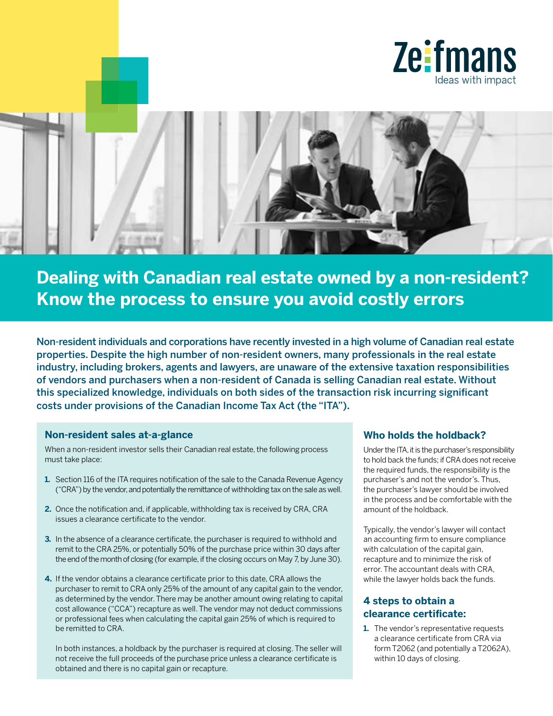



# **Dealing with Canadian real estate owned by a non-resident? Know the process to ensure you avoid costly errors**

Non-resident individuals and corporations have recently invested in a high volume of Canadian real estate properties. Despite the high number of non-resident owners, many professionals in the real estate industry, including brokers, agents and lawyers, are unaware of the extensive taxation responsibilities of vendors and purchasers when a non-resident of Canada is selling Canadian real estate. Without this specialized knowledge, individuals on both sides of the transaction risk incurring significant costs under provisions of the Canadian Income Tax Act (the "ITA").

## **Non-resident sales at-a-glance**

When a non-resident investor sells their Canadian real estate, the following process must take place:

- **1.** Section 116 of the ITA requires notification of the sale to the Canada Revenue Agency ("CRA") by the vendor, and potentially the remittance of withholding tax on the sale as well.
- **2.** Once the notification and, if applicable, withholding tax is received by CRA, CRA issues a clearance certificate to the vendor.
- **3.** In the absence of a clearance certificate, the purchaser is required to withhold and remit to the CRA 25%, or potentially 50% of the purchase price within 30 days after the end of the month of closing (for example, if the closing occurs on May 7, by June 30).
- **4.** If the vendor obtains a clearance certificate prior to this date, CRA allows the purchaser to remit to CRA only 25% of the amount of any capital gain to the vendor, as determined by the vendor. There may be another amount owing relating to capital cost allowance ("CCA") recapture as well. The vendor may not deduct commissions or professional fees when calculating the capital gain 25% of which is required to be remitted to CRA.

In both instances, a holdback by the purchaser is required at closing. The seller will not receive the full proceeds of the purchase price unless a clearance certificate is obtained and there is no capital gain or recapture.

## **Who holds the holdback?**

Under the ITA, it is the purchaser's responsibility to hold back the funds; if CRA does not receive the required funds, the responsibility is the purchaser's and not the vendor's. Thus, the purchaser's lawyer should be involved in the process and be comfortable with the amount of the holdback.

Typically, the vendor's lawyer will contact an accounting firm to ensure compliance with calculation of the capital gain, recapture and to minimize the risk of error. The accountant deals with CRA, while the lawyer holds back the funds.

# **4 steps to obtain a clearance certificate:**

**1.** The vendor's representative requests a clearance certificate from CRA via form T2062 (and potentially a T2062A), within 10 days of closing.